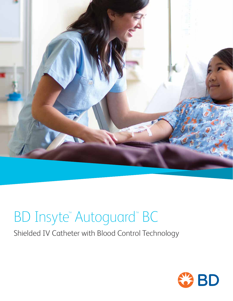

## BD Insyte™Autoguard™ BC

Shielded IV Catheter with Blood Control Technology

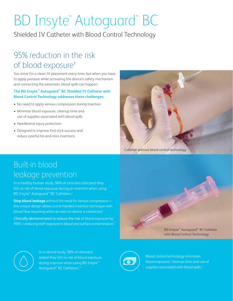# BD Insyte™Autoguard™ BC

Shielded IV Catheter with Blood Control Technology

### 95% reduction in the risk of blood exposure<sup>1</sup>

You strive for a clean IV placement every time, but when you have to apply pressure while activating the device's safety mechanism and connecting the extension, blood spills can happen.

#### **The BD Insyte™ Autoguard™ BC Shielded IV Catheter with Blood Control Technology addresses these challenges:**

- No need to apply venous compression during insertion
- Minimize blood exposure, cleanup time and use of supplies associated with blood spills
- Needlestick injury protection
- Designed to improve first-stick success and reduce painful hit-and-miss insertions



Catheter without blood control technology

### Built-in blood leakage prevention

In a healthy human study, 98% of clinicians indicated they felt no risk of blood exposure during an insertion when using BD Insyte™ Autoguard™ BC Catheters.1

**Stop blood leakage** without the need for venous compression the unique design allows a one-handed insertion technique with blood flow resuming when an add-on device is connected.

Clinically demonstrated to reduce the risk of blood exposure by 95%1 —reducing staff exposure to blood and surface contamination.\*





In a clinical study, 98% of clinicians stated they felt no risk of blood exposure during insertion when using BD Insyte™ Autoguard™ BC Catheters.\*,1



Blood control technology minimizes blood exposure,\* cleanup time and use of supplies associated with blood spills.<sup>2</sup>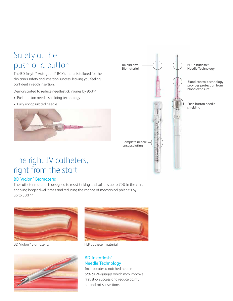### Safety at the push of a button

The BD Insyte™ Autoguard™ BC Catheter is tailored for the clinician's safety and insertion success, leaving you feeling confident in each insertion.

Demonstrated to reduce needlestick injuries by 95%†,3

- Push-button needle shielding technology
- Fully encapsulated needle





### The right IV catheters, right from the start

#### BD Vialon™ Biomaterial

The catheter material is designed to resist kinking and softens up to 70% in the vein, enabling longer dwell times and reducing the chance of mechanical phlebitis by up to 50%.‡,4



BD Vialon<sup>™</sup> Biomaterial





FEP catheter material

#### BD Instaflash™ Needle Technology

Incorporates a notched needle *(20- to 24-gauge),* which may improve first-stick success and reduce painful hit-and-miss insertions.